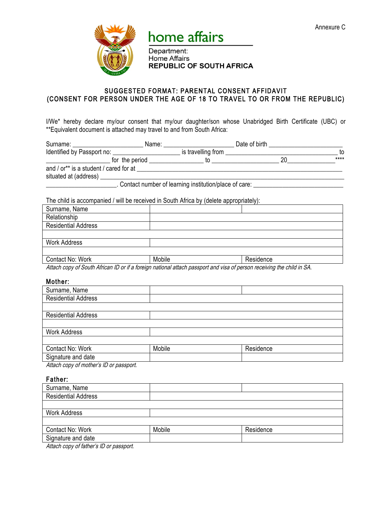

# home affairs

Department: **Home Affairs REPUBLIC OF SOUTH AFRICA** 

## SUGGESTED FORMAT: PARENTAL CONSENT AFFIDAVIT (CONSENT FOR PERSON UNDER THE AGE OF 18 TO TRAVEL TO OR FROM THE REPUBLIC)

I/We\* hereby declare my/our consent that my/our daughter/son whose Unabridged Birth Certificate (UBC) or \*\*Equivalent document is attached may travel to and from South Africa:

| Surname: __________________            | Name: |                                                       | Date of birth |       |
|----------------------------------------|-------|-------------------------------------------------------|---------------|-------|
| Identified by Passport no:             |       | is travelling from                                    |               | to    |
| for the period                         |       |                                                       | 20            | $***$ |
| and / or** is a student / cared for at |       |                                                       |               |       |
| situated at (address)                  |       |                                                       |               |       |
|                                        |       | Contact number of learning institution/place of care: |               |       |

The child is accompanied / will be received in South Africa by (delete appropriately):

| Surname, Name              |        |           |
|----------------------------|--------|-----------|
| Relationship               |        |           |
| <b>Residential Address</b> |        |           |
|                            |        |           |
| <b>Work Address</b>        |        |           |
|                            |        |           |
| Contact No: Work           | Mobile | Residence |

Attach copy of South African ID or if a foreign national attach passport and visa of person receiving the child in SA.

## Mother:

| Surname, Name              |        |           |
|----------------------------|--------|-----------|
| <b>Residential Address</b> |        |           |
|                            |        |           |
| <b>Residential Address</b> |        |           |
|                            |        |           |
| <b>Work Address</b>        |        |           |
|                            |        |           |
| Contact No: Work           | Mobile | Residence |
| Signature and date         |        |           |
|                            |        |           |

Attach copy of mother's ID or passport.

#### Father:

| Mobile | Residence |  |
|--------|-----------|--|
|        |           |  |
|        |           |  |

Attach copy of father's ID or passport.